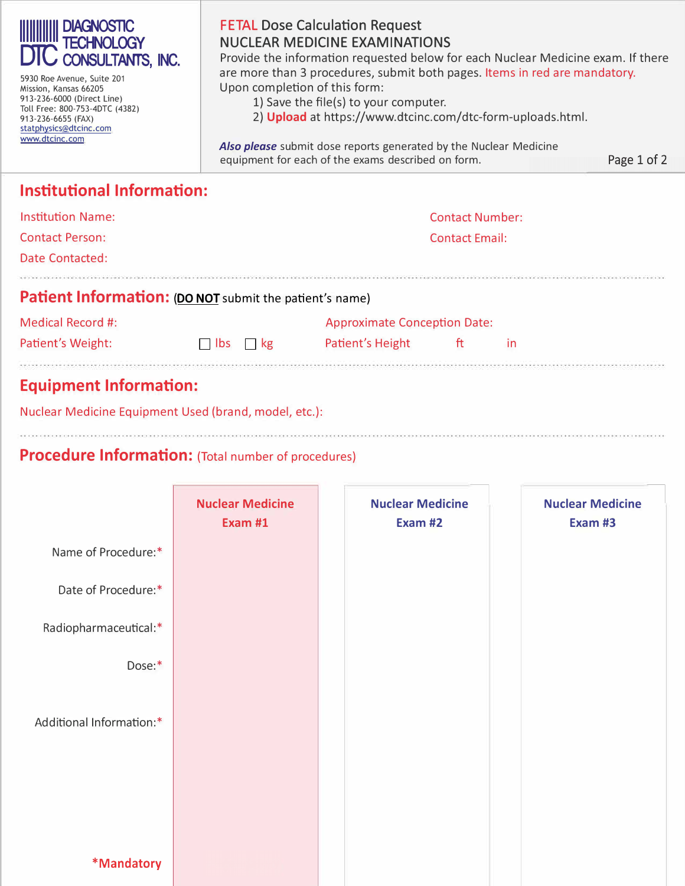| <b>DIAGNOSTIC</b><br><b>TECHNO</b><br><b>CONSULTANTS, INC.</b><br>5930 Roe Avenue, Suite 201<br>Mission, Kansas 66205<br>913-236-6000 (Direct Line)<br>Toll Free: 800-753-4DTC (4382)<br>913-236-6655 (FAX)<br>statphysics@dtcinc.com<br>www.dtcinc.com | <b>FETAL Dose Calculation Request</b><br><b>NUCLEAR MEDICINE EXAMINATIONS</b><br>Provide the information requested below for each Nuclear Medicine exam. If there<br>are more than 3 procedures, submit both pages. Items in red are mandatory.<br>Upon completion of this form:<br>1) Save the file(s) to your computer.<br>2) <b>Upload</b> at https://www.dtcinc.com/dtc-form-uploads.html.<br>Also please submit dose reports generated by the Nuclear Medicine<br>Page 1 of 2<br>equipment for each of the exams described on form. |    |                                     |                        |    |  |
|---------------------------------------------------------------------------------------------------------------------------------------------------------------------------------------------------------------------------------------------------------|------------------------------------------------------------------------------------------------------------------------------------------------------------------------------------------------------------------------------------------------------------------------------------------------------------------------------------------------------------------------------------------------------------------------------------------------------------------------------------------------------------------------------------------|----|-------------------------------------|------------------------|----|--|
| <b>Institutional Information:</b>                                                                                                                                                                                                                       |                                                                                                                                                                                                                                                                                                                                                                                                                                                                                                                                          |    |                                     |                        |    |  |
| <b>Institution Name:</b>                                                                                                                                                                                                                                |                                                                                                                                                                                                                                                                                                                                                                                                                                                                                                                                          |    |                                     | <b>Contact Number:</b> |    |  |
| <b>Contact Person:</b>                                                                                                                                                                                                                                  | <b>Contact Email:</b>                                                                                                                                                                                                                                                                                                                                                                                                                                                                                                                    |    |                                     |                        |    |  |
| Date Contacted:                                                                                                                                                                                                                                         |                                                                                                                                                                                                                                                                                                                                                                                                                                                                                                                                          |    |                                     |                        |    |  |
| <b>Patient Information: (DO NOT submit the patient's name)</b>                                                                                                                                                                                          |                                                                                                                                                                                                                                                                                                                                                                                                                                                                                                                                          |    |                                     |                        |    |  |
| Medical Record #:                                                                                                                                                                                                                                       |                                                                                                                                                                                                                                                                                                                                                                                                                                                                                                                                          |    | <b>Approximate Conception Date:</b> |                        |    |  |
| Patient's Weight:                                                                                                                                                                                                                                       | ibs                                                                                                                                                                                                                                                                                                                                                                                                                                                                                                                                      | kg | Patient's Height                    | ft                     | in |  |

## **Equipment Information:**

Nuclear Medicine Equipment Used (brand, model, etc.}:

## **Procedure Information:** (Total number of procedures)

|                          | <b>Nuclear Medicine</b><br>Exam #1 | <b>Nuclear Medicine</b><br>Exam #2 | <b>Nuclear Medicine</b><br>Exam #3 |
|--------------------------|------------------------------------|------------------------------------|------------------------------------|
| Name of Procedure:*      |                                    |                                    |                                    |
| Date of Procedure:*      |                                    |                                    |                                    |
| Radiopharmaceutical:*    |                                    |                                    |                                    |
| Dose:*                   |                                    |                                    |                                    |
| Additional Information:* |                                    |                                    |                                    |
| *Mandatory               |                                    |                                    |                                    |